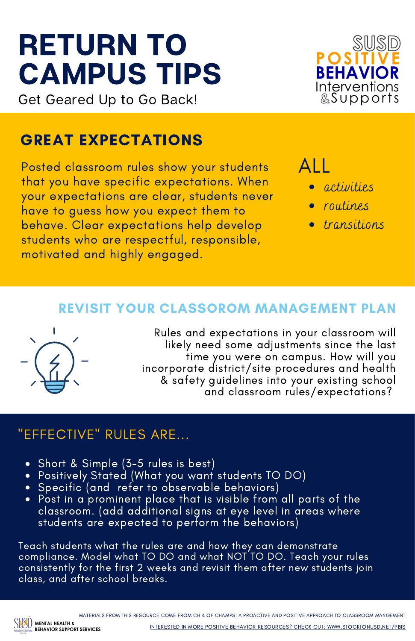# RETURN TO CAMPUS TIPS

Get Geared Up to Go Back!

### GREAT EXPECTATIONS

Posted classroom rules show your students that you have specific expectations. When your expectations are clear, students never have to guess how you expect them to behave. Clear expectations help develop students who are respectful, responsible, motivated and highly engaged.

ALL

activities

**BEHAVIOR** Interventions<br>Supports

- routines
- transitions

### REVISIT YOUR CLASSOROM MANAGEMENT PLAN



Rules and expectations in your classroom will likely need some adjustments since the last time you were on campus. How will you incorporate district/site procedures and health & safety guidelines into your existing school and classroom rules/expectations?

### "EFFECTIVE" RULES ARE...

- Short & Simple (3-5 rules is best)
- Positively Stated (What you want students TO DO)
- Specific (and refer to observable behaviors)
- Post in a prominent place that is visible from all parts of the classroom. (add additional signs at eye level in areas where students are expected to perform the behaviors)

Teach students what the rules are and how they can demonstrate compliance. Model what TO DO and what NOT TO DO. Teach your rules consistently for the first 2 weeks and revisit them after new students join class, and after school breaks.